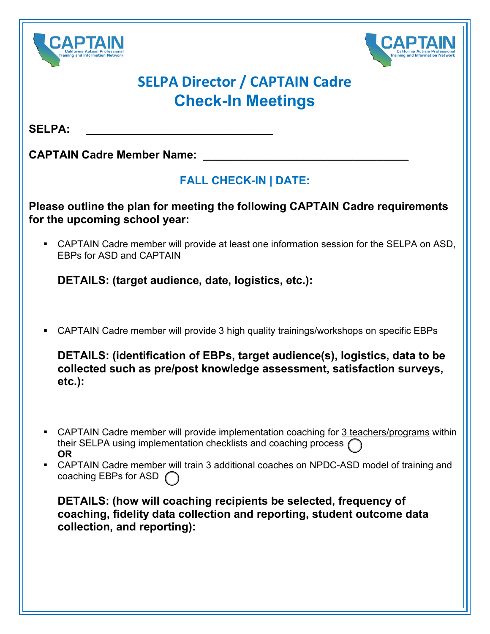



## **SELPA Director / CAPTAIN Cadre Check-In Meetings**

 $SELPA:$ 

**CAPTAIN Cadre Member Name:** 

## **FALL CHECK-IN | DATE:**

**Please outline the plan for meeting the following CAPTAIN Cadre requirements for the upcoming school year:**

 CAPTAIN Cadre member will provide at least one information session for the SELPA on ASD, EBPs for ASD and CAPTAIN

**DETAILS: (target audience, date, logistics, etc.):**

CAPTAIN Cadre member will provide 3 high quality trainings/workshops on specific EBPs

**DETAILS: (identification of EBPs, target audience(s), logistics, data to be collected such as pre/post knowledge assessment, satisfaction surveys, etc.):**

- CAPTAIN Cadre member will provide implementation coaching for 3 teachers/programs within their SELPA using implementation checklists and coaching process ( **OR**
- CAPTAIN Cadre member will train 3 additional coaches on NPDC-ASD model of training and coaching EBPs for ASD

**DETAILS: (how will coaching recipients be selected, frequency of coaching, fidelity data collection and reporting, student outcome data collection, and reporting):**